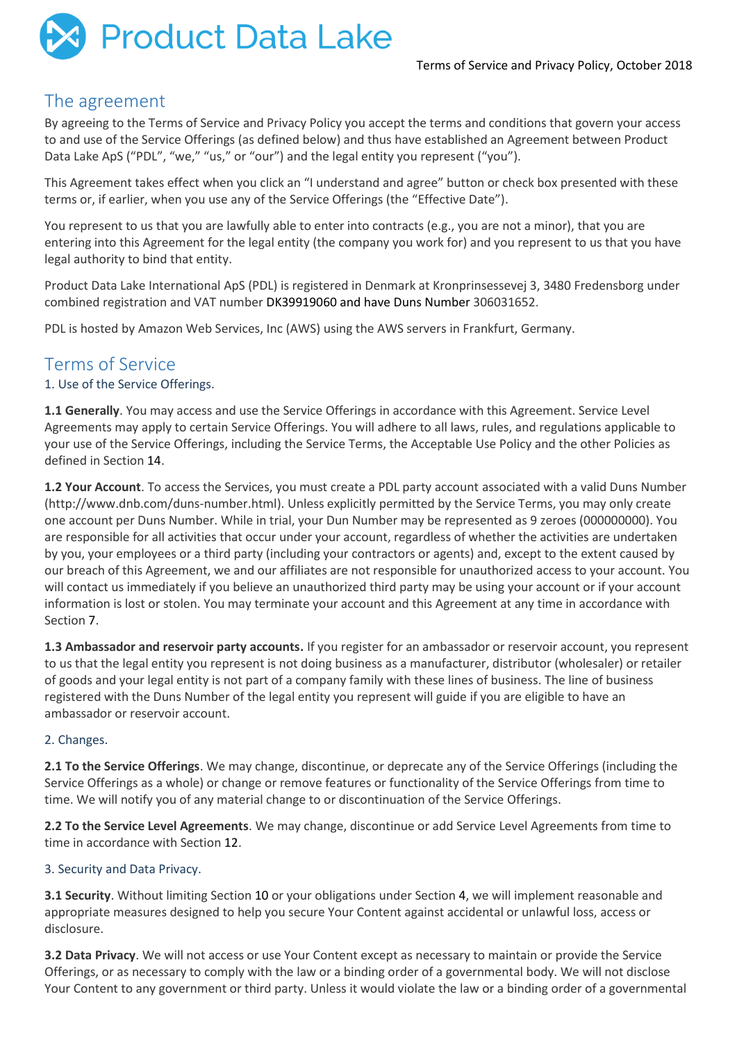

## The agreement

By agreeing to the Terms of Service and Privacy Policy you accept the terms and conditions that govern your access to and use of the Service Offerings (as defined below) and thus have established an Agreement between Product Data Lake ApS ("PDL", "we," "us," or "our") and the legal entity you represent ("you").

This Agreement takes effect when you click an "I understand and agree" button or check box presented with these terms or, if earlier, when you use any of the Service Offerings (the "Effective Date").

You represent to us that you are lawfully able to enter into contracts (e.g., you are not a minor), that you are entering into this Agreement for the legal entity (the company you work for) and you represent to us that you have legal authority to bind that entity.

Product Data Lake International ApS (PDL) is registered in Denmark at Kronprinsessevej 3, 3480 Fredensborg under combined registration and VAT number DK39919060 and have Duns Number 306031652.

PDL is hosted by Amazon Web Services, Inc (AWS) using the AWS servers in Frankfurt, Germany.

## Terms of Service

#### 1. Use of the Service Offerings.

**1.1 Generally**. You may access and use the Service Offerings in accordance with this Agreement. Service Level Agreements may apply to certain Service Offerings. You will adhere to all laws, rules, and regulations applicable to your use of the Service Offerings, including the Service Terms, the Acceptable Use Policy and the other Policies as defined in Section 14.

**1.2 Your Account**. To access the Services, you must create a PDL party account associated with a valid Duns Number (http://www.dnb.com/duns-number.html). Unless explicitly permitted by the Service Terms, you may only create one account per Duns Number. While in trial, your Dun Number may be represented as 9 zeroes (000000000). You are responsible for all activities that occur under your account, regardless of whether the activities are undertaken by you, your employees or a third party (including your contractors or agents) and, except to the extent caused by our breach of this Agreement, we and our affiliates are not responsible for unauthorized access to your account. You will contact us immediately if you believe an unauthorized third party may be using your account or if your account information is lost or stolen. You may terminate your account and this Agreement at any time in accordance with Section 7.

**1.3 Ambassador and reservoir party accounts.** If you register for an ambassador or reservoir account, you represent to us that the legal entity you represent is not doing business as a manufacturer, distributor (wholesaler) or retailer of goods and your legal entity is not part of a company family with these lines of business. The line of business registered with the Duns Number of the legal entity you represent will guide if you are eligible to have an ambassador or reservoir account.

#### 2. Changes.

**2.1 To the Service Offerings**. We may change, discontinue, or deprecate any of the Service Offerings (including the Service Offerings as a whole) or change or remove features or functionality of the Service Offerings from time to time. We will notify you of any material change to or discontinuation of the Service Offerings.

**2.2 To the Service Level Agreements**. We may change, discontinue or add Service Level Agreements from time to time in accordance with Section 12.

#### 3. Security and Data Privacy.

**3.1 Security**. Without limiting Section 10 or your obligations under Section 4, we will implement reasonable and appropriate measures designed to help you secure Your Content against accidental or unlawful loss, access or disclosure.

**3.2 Data Privacy**. We will not access or use Your Content except as necessary to maintain or provide the Service Offerings, or as necessary to comply with the law or a binding order of a governmental body. We will not disclose Your Content to any government or third party. Unless it would violate the law or a binding order of a governmental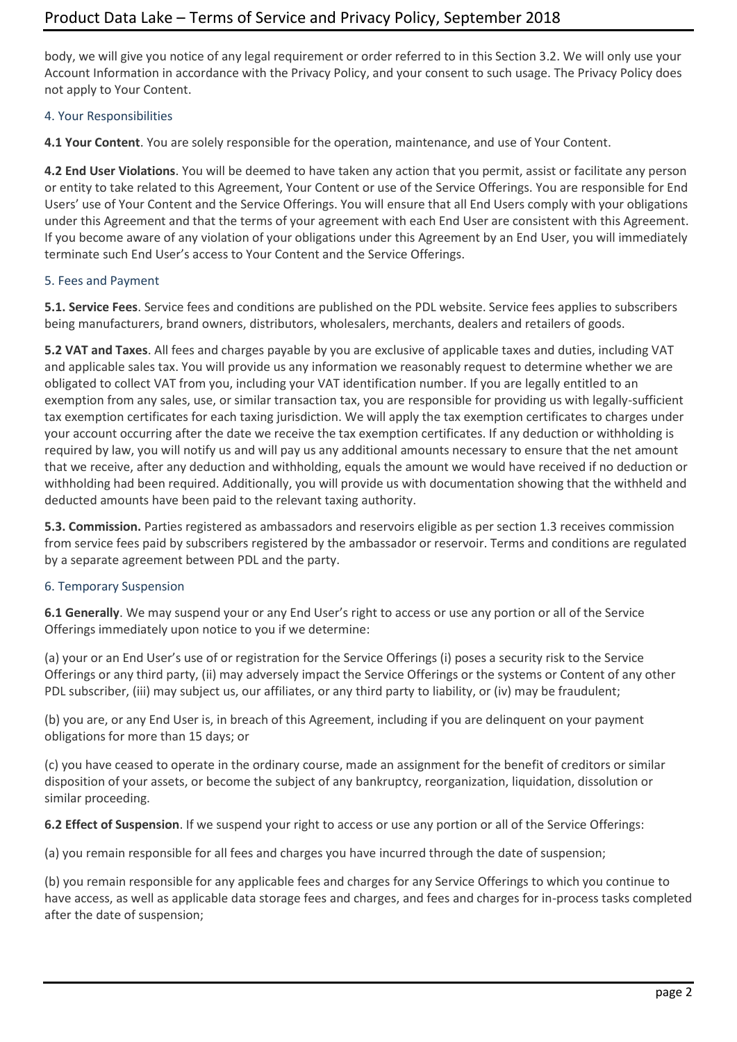body, we will give you notice of any legal requirement or order referred to in this Section 3.2. We will only use your Account Information in accordance with the Privacy Policy, and your consent to such usage. The Privacy Policy does not apply to Your Content.

#### 4. Your Responsibilities

**4.1 Your Content**. You are solely responsible for the operation, maintenance, and use of Your Content.

**4.2 End User Violations**. You will be deemed to have taken any action that you permit, assist or facilitate any person or entity to take related to this Agreement, Your Content or use of the Service Offerings. You are responsible for End Users' use of Your Content and the Service Offerings. You will ensure that all End Users comply with your obligations under this Agreement and that the terms of your agreement with each End User are consistent with this Agreement. If you become aware of any violation of your obligations under this Agreement by an End User, you will immediately terminate such End User's access to Your Content and the Service Offerings.

#### 5. Fees and Payment

**5.1. Service Fees**. Service fees and conditions are published on the PDL website. Service fees applies to subscribers being manufacturers, brand owners, distributors, wholesalers, merchants, dealers and retailers of goods.

**5.2 VAT and Taxes**. All fees and charges payable by you are exclusive of applicable taxes and duties, including VAT and applicable sales tax. You will provide us any information we reasonably request to determine whether we are obligated to collect VAT from you, including your VAT identification number. If you are legally entitled to an exemption from any sales, use, or similar transaction tax, you are responsible for providing us with legally-sufficient tax exemption certificates for each taxing jurisdiction. We will apply the tax exemption certificates to charges under your account occurring after the date we receive the tax exemption certificates. If any deduction or withholding is required by law, you will notify us and will pay us any additional amounts necessary to ensure that the net amount that we receive, after any deduction and withholding, equals the amount we would have received if no deduction or withholding had been required. Additionally, you will provide us with documentation showing that the withheld and deducted amounts have been paid to the relevant taxing authority.

**5.3. Commission.** Parties registered as ambassadors and reservoirs eligible as per section 1.3 receives commission from service fees paid by subscribers registered by the ambassador or reservoir. Terms and conditions are regulated by a separate agreement between PDL and the party.

#### 6. Temporary Suspension

**6.1 Generally**. We may suspend your or any End User's right to access or use any portion or all of the Service Offerings immediately upon notice to you if we determine:

(a) your or an End User's use of or registration for the Service Offerings (i) poses a security risk to the Service Offerings or any third party, (ii) may adversely impact the Service Offerings or the systems or Content of any other PDL subscriber, (iii) may subject us, our affiliates, or any third party to liability, or (iv) may be fraudulent;

(b) you are, or any End User is, in breach of this Agreement, including if you are delinquent on your payment obligations for more than 15 days; or

(c) you have ceased to operate in the ordinary course, made an assignment for the benefit of creditors or similar disposition of your assets, or become the subject of any bankruptcy, reorganization, liquidation, dissolution or similar proceeding.

**6.2 Effect of Suspension**. If we suspend your right to access or use any portion or all of the Service Offerings:

(a) you remain responsible for all fees and charges you have incurred through the date of suspension;

(b) you remain responsible for any applicable fees and charges for any Service Offerings to which you continue to have access, as well as applicable data storage fees and charges, and fees and charges for in-process tasks completed after the date of suspension;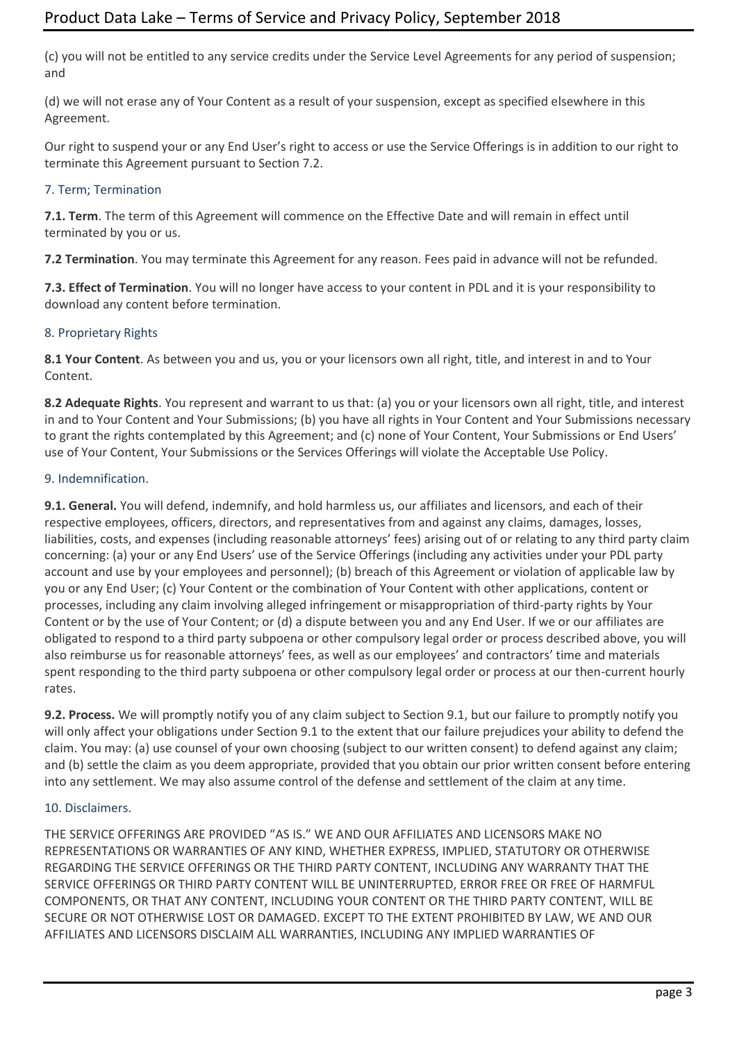(c) you will not be entitled to any service credits under the Service Level Agreements for any period of suspension; and

(d) we will not erase any of Your Content as a result of your suspension, except as specified elsewhere in this Agreement.

Our right to suspend your or any End User's right to access or use the Service Offerings is in addition to our right to terminate this Agreement pursuant to Section 7.2.

#### 7. Term; Termination

**7.1. Term**. The term of this Agreement will commence on the Effective Date and will remain in effect until terminated by you or us.

**7.2 Termination**. You may terminate this Agreement for any reason. Fees paid in advance will not be refunded.

**7.3. Effect of Termination**. You will no longer have access to your content in PDL and it is your responsibility to download any content before termination.

#### 8. Proprietary Rights

**8.1 Your Content**. As between you and us, you or your licensors own all right, title, and interest in and to Your Content.

**8.2 Adequate Rights**. You represent and warrant to us that: (a) you or your licensors own all right, title, and interest in and to Your Content and Your Submissions; (b) you have all rights in Your Content and Your Submissions necessary to grant the rights contemplated by this Agreement; and (c) none of Your Content, Your Submissions or End Users' use of Your Content, Your Submissions or the Services Offerings will violate the Acceptable Use Policy.

#### 9. Indemnification.

**9.1. General.** You will defend, indemnify, and hold harmless us, our affiliates and licensors, and each of their respective employees, officers, directors, and representatives from and against any claims, damages, losses, liabilities, costs, and expenses (including reasonable attorneys' fees) arising out of or relating to any third party claim concerning: (a) your or any End Users' use of the Service Offerings (including any activities under your PDL party account and use by your employees and personnel); (b) breach of this Agreement or violation of applicable law by you or any End User; (c) Your Content or the combination of Your Content with other applications, content or processes, including any claim involving alleged infringement or misappropriation of third-party rights by Your Content or by the use of Your Content; or (d) a dispute between you and any End User. If we or our affiliates are obligated to respond to a third party subpoena or other compulsory legal order or process described above, you will also reimburse us for reasonable attorneys' fees, as well as our employees' and contractors' time and materials spent responding to the third party subpoena or other compulsory legal order or process at our then-current hourly rates.

**9.2. Process.** We will promptly notify you of any claim subject to Section 9.1, but our failure to promptly notify you will only affect your obligations under Section 9.1 to the extent that our failure prejudices your ability to defend the claim. You may: (a) use counsel of your own choosing (subject to our written consent) to defend against any claim; and (b) settle the claim as you deem appropriate, provided that you obtain our prior written consent before entering into any settlement. We may also assume control of the defense and settlement of the claim at any time.

#### 10. Disclaimers.

THE SERVICE OFFERINGS ARE PROVIDED "AS IS." WE AND OUR AFFILIATES AND LICENSORS MAKE NO REPRESENTATIONS OR WARRANTIES OF ANY KIND, WHETHER EXPRESS, IMPLIED, STATUTORY OR OTHERWISE REGARDING THE SERVICE OFFERINGS OR THE THIRD PARTY CONTENT, INCLUDING ANY WARRANTY THAT THE SERVICE OFFERINGS OR THIRD PARTY CONTENT WILL BE UNINTERRUPTED, ERROR FREE OR FREE OF HARMFUL COMPONENTS, OR THAT ANY CONTENT, INCLUDING YOUR CONTENT OR THE THIRD PARTY CONTENT, WILL BE SECURE OR NOT OTHERWISE LOST OR DAMAGED. EXCEPT TO THE EXTENT PROHIBITED BY LAW, WE AND OUR AFFILIATES AND LICENSORS DISCLAIM ALL WARRANTIES, INCLUDING ANY IMPLIED WARRANTIES OF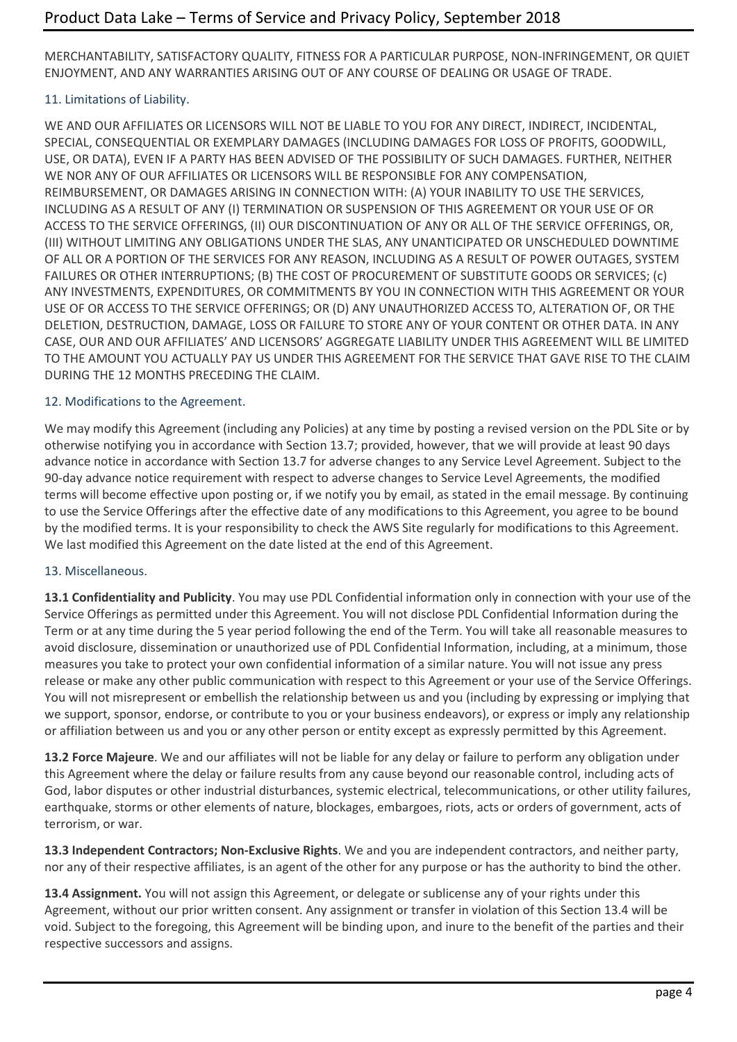MERCHANTABILITY, SATISFACTORY QUALITY, FITNESS FOR A PARTICULAR PURPOSE, NON-INFRINGEMENT, OR QUIET ENJOYMENT, AND ANY WARRANTIES ARISING OUT OF ANY COURSE OF DEALING OR USAGE OF TRADE.

### 11. Limitations of Liability.

WE AND OUR AFFILIATES OR LICENSORS WILL NOT BE LIABLE TO YOU FOR ANY DIRECT, INDIRECT, INCIDENTAL, SPECIAL, CONSEQUENTIAL OR EXEMPLARY DAMAGES (INCLUDING DAMAGES FOR LOSS OF PROFITS, GOODWILL, USE, OR DATA), EVEN IF A PARTY HAS BEEN ADVISED OF THE POSSIBILITY OF SUCH DAMAGES. FURTHER, NEITHER WE NOR ANY OF OUR AFFILIATES OR LICENSORS WILL BE RESPONSIBLE FOR ANY COMPENSATION, REIMBURSEMENT, OR DAMAGES ARISING IN CONNECTION WITH: (A) YOUR INABILITY TO USE THE SERVICES, INCLUDING AS A RESULT OF ANY (I) TERMINATION OR SUSPENSION OF THIS AGREEMENT OR YOUR USE OF OR ACCESS TO THE SERVICE OFFERINGS, (II) OUR DISCONTINUATION OF ANY OR ALL OF THE SERVICE OFFERINGS, OR, (III) WITHOUT LIMITING ANY OBLIGATIONS UNDER THE SLAS, ANY UNANTICIPATED OR UNSCHEDULED DOWNTIME OF ALL OR A PORTION OF THE SERVICES FOR ANY REASON, INCLUDING AS A RESULT OF POWER OUTAGES, SYSTEM FAILURES OR OTHER INTERRUPTIONS; (B) THE COST OF PROCUREMENT OF SUBSTITUTE GOODS OR SERVICES; (c) ANY INVESTMENTS, EXPENDITURES, OR COMMITMENTS BY YOU IN CONNECTION WITH THIS AGREEMENT OR YOUR USE OF OR ACCESS TO THE SERVICE OFFERINGS; OR (D) ANY UNAUTHORIZED ACCESS TO, ALTERATION OF, OR THE DELETION, DESTRUCTION, DAMAGE, LOSS OR FAILURE TO STORE ANY OF YOUR CONTENT OR OTHER DATA. IN ANY CASE, OUR AND OUR AFFILIATES' AND LICENSORS' AGGREGATE LIABILITY UNDER THIS AGREEMENT WILL BE LIMITED TO THE AMOUNT YOU ACTUALLY PAY US UNDER THIS AGREEMENT FOR THE SERVICE THAT GAVE RISE TO THE CLAIM DURING THE 12 MONTHS PRECEDING THE CLAIM.

#### 12. Modifications to the Agreement.

We may modify this Agreement (including any Policies) at any time by posting a revised version on the PDL Site or by otherwise notifying you in accordance with Section 13.7; provided, however, that we will provide at least 90 days advance notice in accordance with Section 13.7 for adverse changes to any Service Level Agreement. Subject to the 90-day advance notice requirement with respect to adverse changes to Service Level Agreements, the modified terms will become effective upon posting or, if we notify you by email, as stated in the email message. By continuing to use the Service Offerings after the effective date of any modifications to this Agreement, you agree to be bound by the modified terms. It is your responsibility to check the AWS Site regularly for modifications to this Agreement. We last modified this Agreement on the date listed at the end of this Agreement.

#### 13. Miscellaneous.

**13.1 Confidentiality and Publicity**. You may use PDL Confidential information only in connection with your use of the Service Offerings as permitted under this Agreement. You will not disclose PDL Confidential Information during the Term or at any time during the 5 year period following the end of the Term. You will take all reasonable measures to avoid disclosure, dissemination or unauthorized use of PDL Confidential Information, including, at a minimum, those measures you take to protect your own confidential information of a similar nature. You will not issue any press release or make any other public communication with respect to this Agreement or your use of the Service Offerings. You will not misrepresent or embellish the relationship between us and you (including by expressing or implying that we support, sponsor, endorse, or contribute to you or your business endeavors), or express or imply any relationship or affiliation between us and you or any other person or entity except as expressly permitted by this Agreement.

**13.2 Force Majeure**. We and our affiliates will not be liable for any delay or failure to perform any obligation under this Agreement where the delay or failure results from any cause beyond our reasonable control, including acts of God, labor disputes or other industrial disturbances, systemic electrical, telecommunications, or other utility failures, earthquake, storms or other elements of nature, blockages, embargoes, riots, acts or orders of government, acts of terrorism, or war.

**13.3 Independent Contractors; Non-Exclusive Rights**. We and you are independent contractors, and neither party, nor any of their respective affiliates, is an agent of the other for any purpose or has the authority to bind the other.

**13.4 Assignment.** You will not assign this Agreement, or delegate or sublicense any of your rights under this Agreement, without our prior written consent. Any assignment or transfer in violation of this Section 13.4 will be void. Subject to the foregoing, this Agreement will be binding upon, and inure to the benefit of the parties and their respective successors and assigns.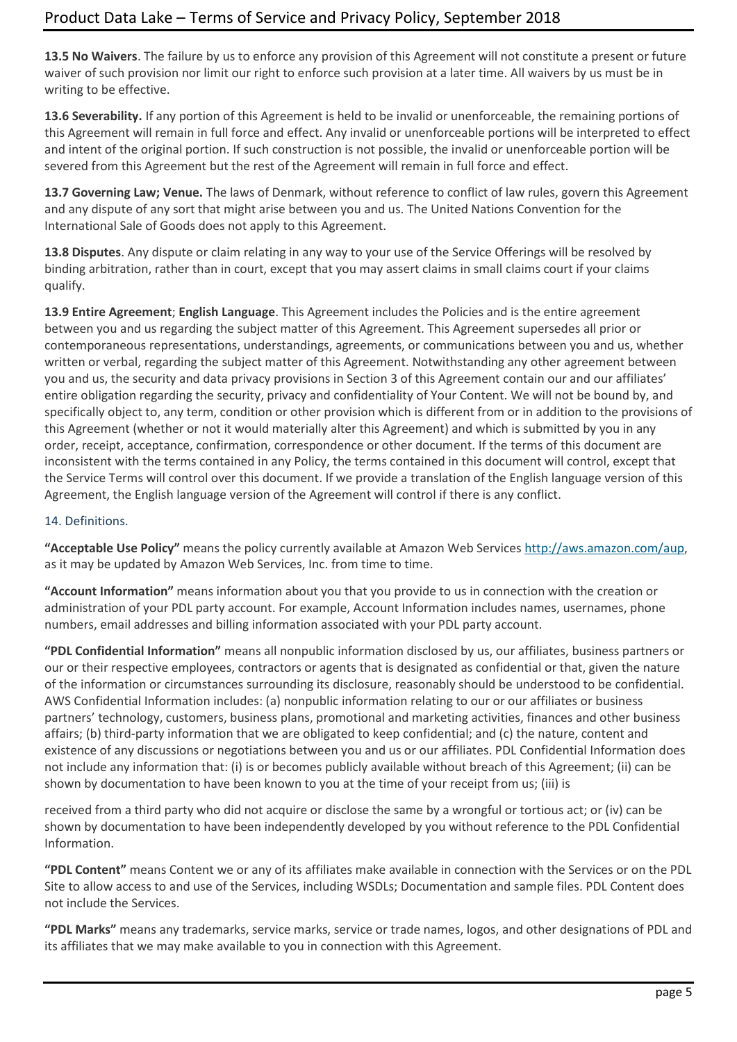**13.5 No Waivers**. The failure by us to enforce any provision of this Agreement will not constitute a present or future waiver of such provision nor limit our right to enforce such provision at a later time. All waivers by us must be in writing to be effective.

**13.6 Severability.** If any portion of this Agreement is held to be invalid or unenforceable, the remaining portions of this Agreement will remain in full force and effect. Any invalid or unenforceable portions will be interpreted to effect and intent of the original portion. If such construction is not possible, the invalid or unenforceable portion will be severed from this Agreement but the rest of the Agreement will remain in full force and effect.

**13.7 Governing Law; Venue.** The laws of Denmark, without reference to conflict of law rules, govern this Agreement and any dispute of any sort that might arise between you and us. The United Nations Convention for the International Sale of Goods does not apply to this Agreement.

**13.8 Disputes**. Any dispute or claim relating in any way to your use of the Service Offerings will be resolved by binding arbitration, rather than in court, except that you may assert claims in small claims court if your claims qualify.

**13.9 Entire Agreement**; **English Language**. This Agreement includes the Policies and is the entire agreement between you and us regarding the subject matter of this Agreement. This Agreement supersedes all prior or contemporaneous representations, understandings, agreements, or communications between you and us, whether written or verbal, regarding the subject matter of this Agreement. Notwithstanding any other agreement between you and us, the security and data privacy provisions in Section 3 of this Agreement contain our and our affiliates' entire obligation regarding the security, privacy and confidentiality of Your Content. We will not be bound by, and specifically object to, any term, condition or other provision which is different from or in addition to the provisions of this Agreement (whether or not it would materially alter this Agreement) and which is submitted by you in any order, receipt, acceptance, confirmation, correspondence or other document. If the terms of this document are inconsistent with the terms contained in any Policy, the terms contained in this document will control, except that the Service Terms will control over this document. If we provide a translation of the English language version of this Agreement, the English language version of the Agreement will control if there is any conflict.

#### 14. Definitions.

**"Acceptable Use Policy"** means the policy currently available at Amazon Web Services [http://aws.amazon.com/aup,](https://aws.amazon.com/aup/) as it may be updated by Amazon Web Services, Inc. from time to time.

**"Account Information"** means information about you that you provide to us in connection with the creation or administration of your PDL party account. For example, Account Information includes names, usernames, phone numbers, email addresses and billing information associated with your PDL party account.

**"PDL Confidential Information"** means all nonpublic information disclosed by us, our affiliates, business partners or our or their respective employees, contractors or agents that is designated as confidential or that, given the nature of the information or circumstances surrounding its disclosure, reasonably should be understood to be confidential. AWS Confidential Information includes: (a) nonpublic information relating to our or our affiliates or business partners' technology, customers, business plans, promotional and marketing activities, finances and other business affairs; (b) third-party information that we are obligated to keep confidential; and (c) the nature, content and existence of any discussions or negotiations between you and us or our affiliates. PDL Confidential Information does not include any information that: (i) is or becomes publicly available without breach of this Agreement; (ii) can be shown by documentation to have been known to you at the time of your receipt from us; (iii) is

received from a third party who did not acquire or disclose the same by a wrongful or tortious act; or (iv) can be shown by documentation to have been independently developed by you without reference to the PDL Confidential Information.

**"PDL Content"** means Content we or any of its affiliates make available in connection with the Services or on the PDL Site to allow access to and use of the Services, including WSDLs; Documentation and sample files. PDL Content does not include the Services.

**"PDL Marks"** means any trademarks, service marks, service or trade names, logos, and other designations of PDL and its affiliates that we may make available to you in connection with this Agreement.